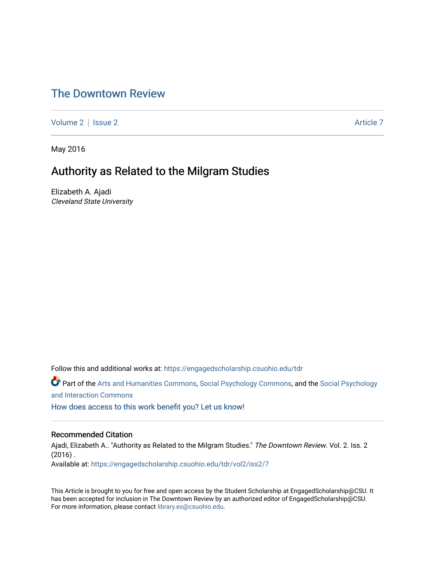# [The Downtown Review](https://engagedscholarship.csuohio.edu/tdr)

[Volume 2](https://engagedscholarship.csuohio.edu/tdr/vol2) | [Issue 2](https://engagedscholarship.csuohio.edu/tdr/vol2/iss2) Article 7

May 2016

# Authority as Related to the Milgram Studies

Elizabeth A. Ajadi Cleveland State University

Follow this and additional works at: [https://engagedscholarship.csuohio.edu/tdr](https://engagedscholarship.csuohio.edu/tdr?utm_source=engagedscholarship.csuohio.edu%2Ftdr%2Fvol2%2Fiss2%2F7&utm_medium=PDF&utm_campaign=PDFCoverPages) 

Part of the [Arts and Humanities Commons,](http://network.bepress.com/hgg/discipline/438?utm_source=engagedscholarship.csuohio.edu%2Ftdr%2Fvol2%2Fiss2%2F7&utm_medium=PDF&utm_campaign=PDFCoverPages) [Social Psychology Commons,](http://network.bepress.com/hgg/discipline/414?utm_source=engagedscholarship.csuohio.edu%2Ftdr%2Fvol2%2Fiss2%2F7&utm_medium=PDF&utm_campaign=PDFCoverPages) and the [Social Psychology](http://network.bepress.com/hgg/discipline/430?utm_source=engagedscholarship.csuohio.edu%2Ftdr%2Fvol2%2Fiss2%2F7&utm_medium=PDF&utm_campaign=PDFCoverPages) [and Interaction Commons](http://network.bepress.com/hgg/discipline/430?utm_source=engagedscholarship.csuohio.edu%2Ftdr%2Fvol2%2Fiss2%2F7&utm_medium=PDF&utm_campaign=PDFCoverPages)

[How does access to this work benefit you? Let us know!](http://library.csuohio.edu/engaged/)

### Recommended Citation

Ajadi, Elizabeth A.. "Authority as Related to the Milgram Studies." The Downtown Review. Vol. 2. Iss. 2  $(2016)$ . Available at: [https://engagedscholarship.csuohio.edu/tdr/vol2/iss2/7](https://engagedscholarship.csuohio.edu/tdr/vol2/iss2/7?utm_source=engagedscholarship.csuohio.edu%2Ftdr%2Fvol2%2Fiss2%2F7&utm_medium=PDF&utm_campaign=PDFCoverPages) 

This Article is brought to you for free and open access by the Student Scholarship at EngagedScholarship@CSU. It has been accepted for inclusion in The Downtown Review by an authorized editor of EngagedScholarship@CSU. For more information, please contact [library.es@csuohio.edu.](mailto:library.es@csuohio.edu)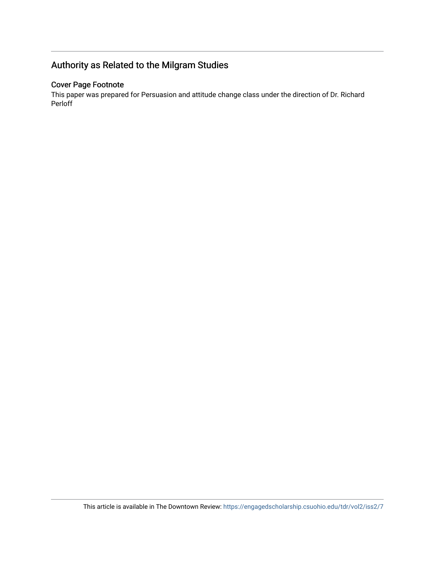# Authority as Related to the Milgram Studies

## Cover Page Footnote

This paper was prepared for Persuasion and attitude change class under the direction of Dr. Richard Perloff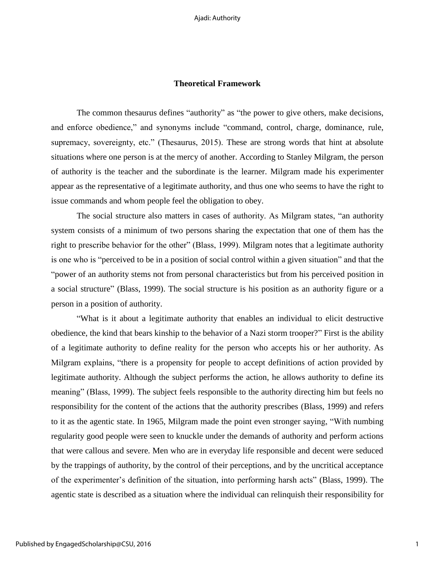## **Theoretical Framework**

The common thesaurus defines "authority" as "the power to give others, make decisions, and enforce obedience," and synonyms include "command, control, charge, dominance, rule, supremacy, sovereignty, etc." (Thesaurus, 2015). These are strong words that hint at absolute situations where one person is at the mercy of another. According to Stanley Milgram, the person of authority is the teacher and the subordinate is the learner. Milgram made his experimenter appear as the representative of a legitimate authority, and thus one who seems to have the right to issue commands and whom people feel the obligation to obey.

The social structure also matters in cases of authority. As Milgram states, "an authority system consists of a minimum of two persons sharing the expectation that one of them has the right to prescribe behavior for the other" (Blass, 1999). Milgram notes that a legitimate authority is one who is "perceived to be in a position of social control within a given situation" and that the "power of an authority stems not from personal characteristics but from his perceived position in a social structure" (Blass, 1999). The social structure is his position as an authority figure or a person in a position of authority.

"What is it about a legitimate authority that enables an individual to elicit destructive obedience, the kind that bears kinship to the behavior of a Nazi storm trooper?" First is the ability of a legitimate authority to define reality for the person who accepts his or her authority. As Milgram explains, "there is a propensity for people to accept definitions of action provided by legitimate authority. Although the subject performs the action, he allows authority to define its meaning" (Blass, 1999). The subject feels responsible to the authority directing him but feels no responsibility for the content of the actions that the authority prescribes (Blass, 1999) and refers to it as the agentic state. In 1965, Milgram made the point even stronger saying, "With numbing regularity good people were seen to knuckle under the demands of authority and perform actions that were callous and severe. Men who are in everyday life responsible and decent were seduced by the trappings of authority, by the control of their perceptions, and by the uncritical acceptance of the experimenter's definition of the situation, into performing harsh acts" (Blass, 1999). The agentic state is described as a situation where the individual can relinquish their responsibility for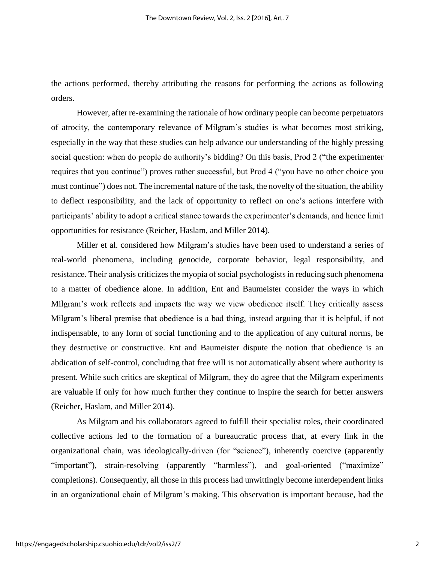the actions performed, thereby attributing the reasons for performing the actions as following orders.

However, after re-examining the rationale of how ordinary people can become perpetuators of atrocity, the contemporary relevance of Milgram's studies is what becomes most striking, especially in the way that these studies can help advance our understanding of the highly pressing social question: when do people do authority's bidding? On this basis, Prod 2 ("the experimenter requires that you continue") proves rather successful, but Prod 4 ("you have no other choice you must continue") does not. The incremental nature of the task, the novelty of the situation, the ability to deflect responsibility, and the lack of opportunity to reflect on one's actions interfere with participants' ability to adopt a critical stance towards the experimenter's demands, and hence limit opportunities for resistance (Reicher, Haslam, and Miller 2014).

Miller et al. considered how Milgram's studies have been used to understand a series of real-world phenomena, including genocide, corporate behavior, legal responsibility, and resistance. Their analysis criticizes the myopia of social psychologists in reducing such phenomena to a matter of obedience alone. In addition, Ent and Baumeister consider the ways in which Milgram's work reflects and impacts the way we view obedience itself. They critically assess Milgram's liberal premise that obedience is a bad thing, instead arguing that it is helpful, if not indispensable, to any form of social functioning and to the application of any cultural norms, be they destructive or constructive. Ent and Baumeister dispute the notion that obedience is an abdication of self-control, concluding that free will is not automatically absent where authority is present. While such critics are skeptical of Milgram, they do agree that the Milgram experiments are valuable if only for how much further they continue to inspire the search for better answers (Reicher, Haslam, and Miller 2014).

As Milgram and his collaborators agreed to fulfill their specialist roles, their coordinated collective actions led to the formation of a bureaucratic process that, at every link in the organizational chain, was ideologically-driven (for "science"), inherently coercive (apparently "important"), strain-resolving (apparently "harmless"), and goal-oriented ("maximize" completions). Consequently, all those in this process had unwittingly become interdependent links in an organizational chain of Milgram's making. This observation is important because, had the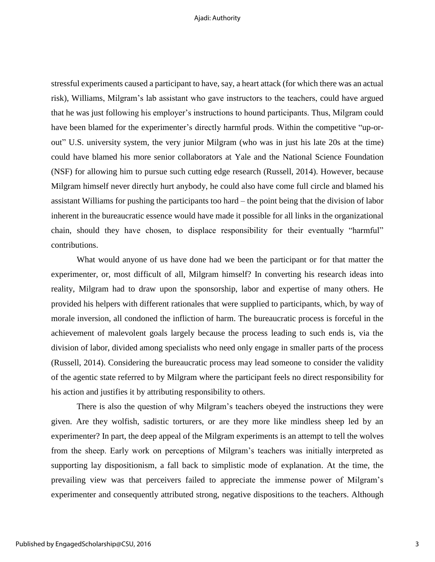#### Ajadi: Authority

stressful experiments caused a participant to have, say, a heart attack (for which there was an actual risk), Williams, Milgram's lab assistant who gave instructors to the teachers, could have argued that he was just following his employer's instructions to hound participants. Thus, Milgram could have been blamed for the experimenter's directly harmful prods. Within the competitive "up-orout" U.S. university system, the very junior Milgram (who was in just his late 20s at the time) could have blamed his more senior collaborators at Yale and the National Science Foundation (NSF) for allowing him to pursue such cutting edge research (Russell, 2014). However, because Milgram himself never directly hurt anybody, he could also have come full circle and blamed his assistant Williams for pushing the participants too hard – the point being that the division of labor inherent in the bureaucratic essence would have made it possible for all links in the organizational chain, should they have chosen, to displace responsibility for their eventually "harmful" contributions.

What would anyone of us have done had we been the participant or for that matter the experimenter, or, most difficult of all, Milgram himself? In converting his research ideas into reality, Milgram had to draw upon the sponsorship, labor and expertise of many others. He provided his helpers with different rationales that were supplied to participants, which, by way of morale inversion, all condoned the infliction of harm. The bureaucratic process is forceful in the achievement of malevolent goals largely because the process leading to such ends is, via the division of labor, divided among specialists who need only engage in smaller parts of the process (Russell, 2014). Considering the bureaucratic process may lead someone to consider the validity of the agentic state referred to by Milgram where the participant feels no direct responsibility for his action and justifies it by attributing responsibility to others.

There is also the question of why Milgram's teachers obeyed the instructions they were given. Are they wolfish, sadistic torturers, or are they more like mindless sheep led by an experimenter? In part, the deep appeal of the Milgram experiments is an attempt to tell the wolves from the sheep. Early work on perceptions of Milgram's teachers was initially interpreted as supporting lay dispositionism, a fall back to simplistic mode of explanation. At the time, the prevailing view was that perceivers failed to appreciate the immense power of Milgram's experimenter and consequently attributed strong, negative dispositions to the teachers. Although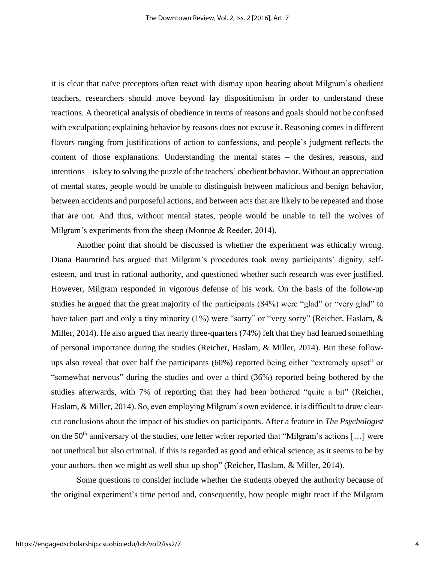it is clear that naïve preceptors often react with dismay upon hearing about Milgram's obedient teachers, researchers should move beyond lay dispositionism in order to understand these reactions. A theoretical analysis of obedience in terms of reasons and goals should not be confused with exculpation; explaining behavior by reasons does not excuse it. Reasoning comes in different flavors ranging from justifications of action to confessions, and people's judgment reflects the content of those explanations. Understanding the mental states – the desires, reasons, and intentions – is key to solving the puzzle of the teachers' obedient behavior. Without an appreciation of mental states, people would be unable to distinguish between malicious and benign behavior, between accidents and purposeful actions, and between acts that are likely to be repeated and those that are not. And thus, without mental states, people would be unable to tell the wolves of Milgram's experiments from the sheep (Monroe & Reeder, 2014).

Another point that should be discussed is whether the experiment was ethically wrong. Diana Baumrind has argued that Milgram's procedures took away participants' dignity, selfesteem, and trust in rational authority, and questioned whether such research was ever justified. However, Milgram responded in vigorous defense of his work. On the basis of the follow-up studies he argued that the great majority of the participants (84%) were "glad" or "very glad" to have taken part and only a tiny minority (1%) were "sorry" or "very sorry" (Reicher, Haslam, & Miller, 2014). He also argued that nearly three-quarters (74%) felt that they had learned something of personal importance during the studies (Reicher, Haslam, & Miller, 2014). But these followups also reveal that over half the participants (60%) reported being either "extremely upset" or "somewhat nervous" during the studies and over a third (36%) reported being bothered by the studies afterwards, with 7% of reporting that they had been bothered "quite a bit" (Reicher, Haslam, & Miller, 2014). So, even employing Milgram's own evidence, it is difficult to draw clearcut conclusions about the impact of his studies on participants. After a feature in *The Psychologist*  on the 50<sup>th</sup> anniversary of the studies, one letter writer reported that "Milgram's actions [...] were not unethical but also criminal. If this is regarded as good and ethical science, as it seems to be by your authors, then we might as well shut up shop" (Reicher, Haslam, & Miller, 2014).

Some questions to consider include whether the students obeyed the authority because of the original experiment's time period and, consequently, how people might react if the Milgram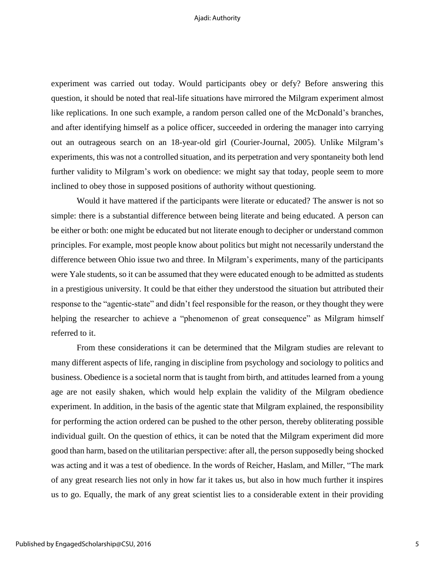### Ajadi: Authority

experiment was carried out today. Would participants obey or defy? Before answering this question, it should be noted that real-life situations have mirrored the Milgram experiment almost like replications. In one such example, a random person called one of the McDonald's branches, and after identifying himself as a police officer, succeeded in ordering the manager into carrying out an outrageous search on an 18-year-old girl (Courier-Journal, 2005). Unlike Milgram's experiments, this was not a controlled situation, and its perpetration and very spontaneity both lend further validity to Milgram's work on obedience: we might say that today, people seem to more inclined to obey those in supposed positions of authority without questioning.

Would it have mattered if the participants were literate or educated? The answer is not so simple: there is a substantial difference between being literate and being educated. A person can be either or both: one might be educated but not literate enough to decipher or understand common principles. For example, most people know about politics but might not necessarily understand the difference between Ohio issue two and three. In Milgram's experiments, many of the participants were Yale students, so it can be assumed that they were educated enough to be admitted as students in a prestigious university. It could be that either they understood the situation but attributed their response to the "agentic-state" and didn't feel responsible for the reason, or they thought they were helping the researcher to achieve a "phenomenon of great consequence" as Milgram himself referred to it.

From these considerations it can be determined that the Milgram studies are relevant to many different aspects of life, ranging in discipline from psychology and sociology to politics and business. Obedience is a societal norm that is taught from birth, and attitudes learned from a young age are not easily shaken, which would help explain the validity of the Milgram obedience experiment. In addition, in the basis of the agentic state that Milgram explained, the responsibility for performing the action ordered can be pushed to the other person, thereby obliterating possible individual guilt. On the question of ethics, it can be noted that the Milgram experiment did more good than harm, based on the utilitarian perspective: after all, the person supposedly being shocked was acting and it was a test of obedience. In the words of Reicher, Haslam, and Miller, "The mark of any great research lies not only in how far it takes us, but also in how much further it inspires us to go. Equally, the mark of any great scientist lies to a considerable extent in their providing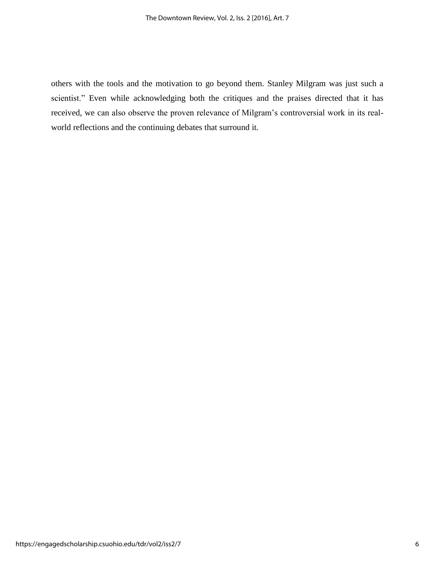others with the tools and the motivation to go beyond them. Stanley Milgram was just such a scientist." Even while acknowledging both the critiques and the praises directed that it has received, we can also observe the proven relevance of Milgram's controversial work in its realworld reflections and the continuing debates that surround it.